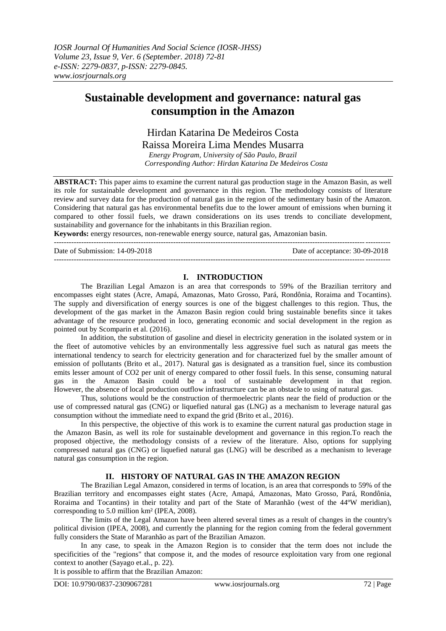# **Sustainable development and governance: natural gas consumption in the Amazon**

# Hirdan Katarina De Medeiros Costa

Raissa Moreira Lima Mendes Musarra

*Energy Program, University of São Paulo, Brazil Corresponding Author: Hirdan Katarina De Medeiros Costa*

**ABSTRACT:** This paper aims to examine the current natural gas production stage in the Amazon Basin, as well its role for sustainable development and governance in this region. The methodology consists of literature review and survey data for the production of natural gas in the region of the sedimentary basin of the Amazon. Considering that natural gas has environmental benefits due to the lower amount of emissions when burning it compared to other fossil fuels, we drawn considerations on its uses trends to conciliate development, sustainability and governance for the inhabitants in this Brazilian region.

**Keywords:** energy resources, non-renewable energy source, natural gas, Amazonian basin. ---------------------------------------------------------------------------------------------------------------------------------------

Date of Submission: 14-09-2018 Date of acceptance: 30-09-2018 ---------------------------------------------------------------------------------------------------------------------------------------

# **I. INTRODUCTION**

The Brazilian Legal Amazon is an area that corresponds to 59% of the Brazilian territory and encompasses eight states (Acre, Amapá, Amazonas, Mato Grosso, Pará, Rondônia, Roraima and Tocantins). The supply and diversification of energy sources is one of the biggest challenges to this region. Thus, the development of the gas market in the Amazon Basin region could bring sustainable benefits since it takes advantage of the resource produced in loco, generating economic and social development in the region as pointed out by Scomparin et al. (2016).

In addition, the substitution of gasoline and diesel in electricity generation in the isolated system or in the fleet of automotive vehicles by an environmentally less aggressive fuel such as natural gas meets the international tendency to search for electricity generation and for characterized fuel by the smaller amount of emission of pollutants (Brito et al., 2017). Natural gas is designated as a transition fuel, since its combustion emits lesser amount of CO2 per unit of energy compared to other fossil fuels. In this sense, consuming natural gas in the Amazon Basin could be a tool of sustainable development in that region. However, the absence of local production outflow infrastructure can be an obstacle to using of natural gas.

Thus, solutions would be the construction of thermoelectric plants near the field of production or the use of compressed natural gas (CNG) or liquefied natural gas (LNG) as a mechanism to leverage natural gas consumption without the immediate need to expand the grid (Brito et al., 2016).

In this perspective, the objective of this work is to examine the current natural gas production stage in the Amazon Basin, as well its role for sustainable development and governance in this region.To reach the proposed objective, the methodology consists of a review of the literature. Also, options for supplying compressed natural gas (CNG) or liquefied natural gas (LNG) will be described as a mechanism to leverage natural gas consumption in the region.

## **II. HISTORY OF NATURAL GAS IN THE AMAZON REGION**

The Brazilian Legal Amazon, considered in terms of location, is an area that corresponds to 59% of the Brazilian territory and encompasses eight states (Acre, Amapá, Amazonas, Mato Grosso, Pará, Rondônia, Roraima and Tocantins) in their totality and part of the State of Maranhão (west of the 44ºW meridian), corresponding to 5.0 million km² (IPEA, 2008).

The limits of the Legal Amazon have been altered several times as a result of changes in the country's political division (IPEA, 2008), and currently the planning for the region coming from the federal government fully considers the State of Maranhão as part of the Brazilian Amazon.

In any case, to speak in the Amazon Region is to consider that the term does not include the specificities of the "regions" that compose it, and the modes of resource exploitation vary from one regional context to another (Sayago et.al., p. 22).

It is possible to affirm that the Brazilian Amazon: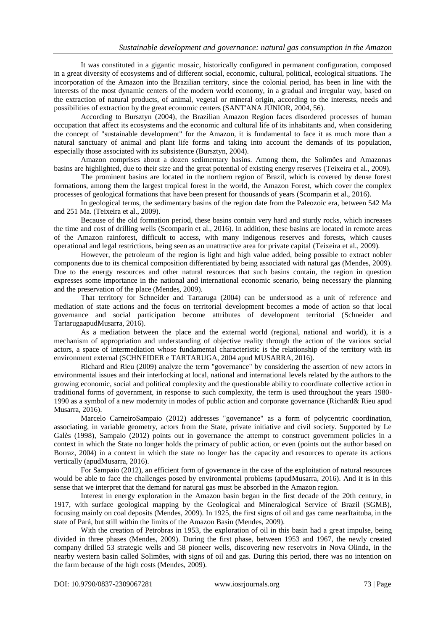It was constituted in a gigantic mosaic, historically configured in permanent configuration, composed in a great diversity of ecosystems and of different social, economic, cultural, political, ecological situations. The incorporation of the Amazon into the Brazilian territory, since the colonial period, has been in line with the interests of the most dynamic centers of the modern world economy, in a gradual and irregular way, based on the extraction of natural products, of animal, vegetal or mineral origin, according to the interests, needs and possibilities of extraction by the great economic centers (SANT'ANA JÚNIOR, 2004, 56).

According to Bursztyn (2004), the Brazilian Amazon Region faces disordered processes of human occupation that affect its ecosystems and the economic and cultural life of its inhabitants and, when considering the concept of "sustainable development" for the Amazon, it is fundamental to face it as much more than a natural sanctuary of animal and plant life forms and taking into account the demands of its population, especially those associated with its subsistence (Bursztyn, 2004).

Amazon comprises about a dozen sedimentary basins. Among them, the Solimões and Amazonas basins are highlighted, due to their size and the great potential of existing energy reserves (Teixeira et al., 2009).

The prominent basins are located in the northern region of Brazil, which is covered by dense forest formations, among them the largest tropical forest in the world, the Amazon Forest, which cover the complex processes of geological formations that have been present for thousands of years (Scomparin et al., 2016).

In geological terms, the sedimentary basins of the region date from the Paleozoic era, between 542 Ma and 251 Ma. (Teixeira et al., 2009).

Because of the old formation period, these basins contain very hard and sturdy rocks, which increases the time and cost of drilling wells (Scomparin et al., 2016). In addition, these basins are located in remote areas of the Amazon rainforest, difficult to access, with many indigenous reserves and forests, which causes operational and legal restrictions, being seen as an unattractive area for private capital (Teixeira et al., 2009).

However, the petroleum of the region is light and high value added, being possible to extract nobler components due to its chemical composition differentiated by being associated with natural gas (Mendes, 2009). Due to the energy resources and other natural resources that such basins contain, the region in question expresses some importance in the national and international economic scenario, being necessary the planning and the preservation of the place (Mendes, 2009).

That territory for Schneider and Tartaruga (2004) can be understood as a unit of reference and mediation of state actions and the focus on territorial development becomes a mode of action so that local governance and social participation become attributes of development territorial (Schneider and TartarugaapudMusarra, 2016).

As a mediation between the place and the external world (regional, national and world), it is a mechanism of appropriation and understanding of objective reality through the action of the various social actors, a space of intermediation whose fundamental characteristic is the relationship of the territory with its environment external (SCHNEIDER e TARTARUGA, 2004 apud MUSARRA, 2016).

Richard and Rieu (2009) analyze the term "governance" by considering the assertion of new actors in environmental issues and their interlocking at local, national and international levels related by the authors to the growing economic, social and political complexity and the questionable ability to coordinate collective action in traditional forms of government, in response to such complexity, the term is used throughout the years 1980- 1990 as a symbol of a new modernity in modes of public action and corporate governance (Richard& Rieu apud Musarra, 2016).

Marcelo CarneiroSampaio (2012) addresses "governance" as a form of polycentric coordination, associating, in variable geometry, actors from the State, private initiative and civil society. Supported by Le Galès (1998), Sampaio (2012) points out in governance the attempt to construct government policies in a context in which the State no longer holds the primacy of public action, or even (points out the author based on Borraz, 2004) in a context in which the state no longer has the capacity and resources to operate its actions vertically (apudMusarra, 2016).

For Sampaio (2012), an efficient form of governance in the case of the exploitation of natural resources would be able to face the challenges posed by environmental problems (apudMusarra, 2016). And it is in this sense that we interpret that the demand for natural gas must be absorbed in the Amazon region.

Interest in energy exploration in the Amazon basin began in the first decade of the 20th century, in 1917, with surface geological mapping by the Geological and Mineralogical Service of Brazil (SGMB), focusing mainly on coal deposits (Mendes, 2009). In 1925, the first signs of oil and gas came nearItaituba, in the state of Pará, but still within the limits of the Amazon Basin (Mendes, 2009).

With the creation of Petrobras in 1953, the exploration of oil in this basin had a great impulse, being divided in three phases (Mendes, 2009). During the first phase, between 1953 and 1967, the newly created company drilled 53 strategic wells and 58 pioneer wells, discovering new reservoirs in Nova Olinda, in the nearby western basin called Solimões, with signs of oil and gas. During this period, there was no intention on the farm because of the high costs (Mendes, 2009).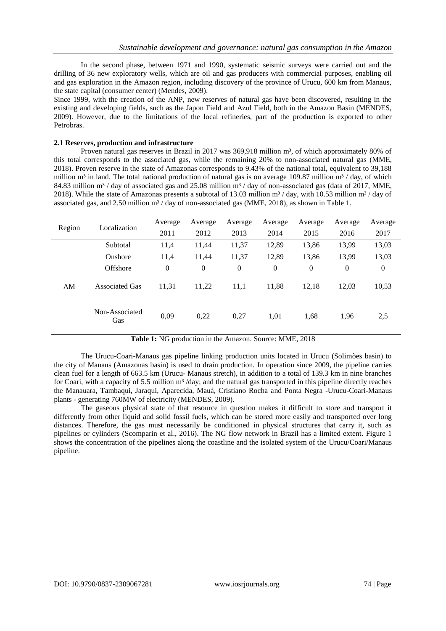In the second phase, between 1971 and 1990, systematic seismic surveys were carried out and the drilling of 36 new exploratory wells, which are oil and gas producers with commercial purposes, enabling oil and gas exploration in the Amazon region, including discovery of the province of Urucu, 600 km from Manaus, the state capital (consumer center) (Mendes, 2009).

Since 1999, with the creation of the ANP, new reserves of natural gas have been discovered, resulting in the existing and developing fields, such as the Japon Field and Azul Field, both in the Amazon Basin (MENDES, 2009). However, due to the limitations of the local refineries, part of the production is exported to other Petrobras.

#### **2.1 Reserves, production and infrastructure**

Proven natural gas reserves in Brazil in 2017 was 369,918 million m<sup>3</sup>, of which approximately 80% of this total corresponds to the associated gas, while the remaining 20% to non-associated natural gas (MME, 2018). Proven reserve in the state of Amazonas corresponds to 9.43% of the national total, equivalent to 39,188 million m<sup>3</sup> in land. The total national production of natural gas is on average 109.87 million m<sup>3</sup> / day, of which 84.83 million  $m<sup>3</sup>$  / day of associated gas and 25.08 million  $m<sup>3</sup>$  / day of non-associated gas (data of 2017, MME, 2018). While the state of Amazonas presents a subtotal of 13.03 million  $m^3$  / day, with 10.53 million  $m^3$  / day of associated gas, and 2.50 million  $m<sup>3</sup>$  / day of non-associated gas (MME, 2018), as shown in Table 1.

| Region | Localization          | Average          | Average          | Average      | Average        | Average        | Average        | Average        |
|--------|-----------------------|------------------|------------------|--------------|----------------|----------------|----------------|----------------|
|        |                       | 2011             | 2012             | 2013         | 2014           | 2015           | 2016           | 2017           |
| AM     | Subtotal              | 11,4             | 11,44            | 11,37        | 12,89          | 13,86          | 13,99          | 13,03          |
|        | Onshore               | 11,4             | 11,44            | 11,37        | 12,89          | 13,86          | 13,99          | 13,03          |
|        | Offshore              | $\boldsymbol{0}$ | $\boldsymbol{0}$ | $\mathbf{0}$ | $\overline{0}$ | $\overline{0}$ | $\overline{0}$ | $\overline{0}$ |
|        | <b>Associated Gas</b> | 11,31            | 11,22            | 11,1         | 11,88          | 12.18          | 12.03          | 10,53          |
|        | Non-Associated<br>Gas | 0,09             | 0,22             | 0,27         | 1,01           | 1,68           | 1,96           | 2,5            |

**Table 1:** NG production in the Amazon. Source: MME, 2018

The Urucu-Coari-Manaus gas pipeline linking production units located in Urucu (Solimões basin) to the city of Manaus (Amazonas basin) is used to drain production. In operation since 2009, the pipeline carries clean fuel for a length of 663.5 km (Urucu- Manaus stretch), in addition to a total of 139.3 km in nine branches for Coari, with a capacity of 5.5 million  $m<sup>3</sup>$  /day; and the natural gas transported in this pipeline directly reaches the Manauara, Tambaqui, Jaraqui, Aparecida, Mauá, Cristiano Rocha and Ponta Negra -Urucu-Coari-Manaus plants - generating 760MW of electricity (MENDES, 2009).

The gaseous physical state of that resource in question makes it difficult to store and transport it differently from other liquid and solid fossil fuels, which can be stored more easily and transported over long distances. Therefore, the gas must necessarily be conditioned in physical structures that carry it, such as pipelines or cylinders (Scomparin et al., 2016). The NG flow network in Brazil has a limited extent. Figure 1 shows the concentration of the pipelines along the coastline and the isolated system of the Urucu/Coari/Manaus pipeline.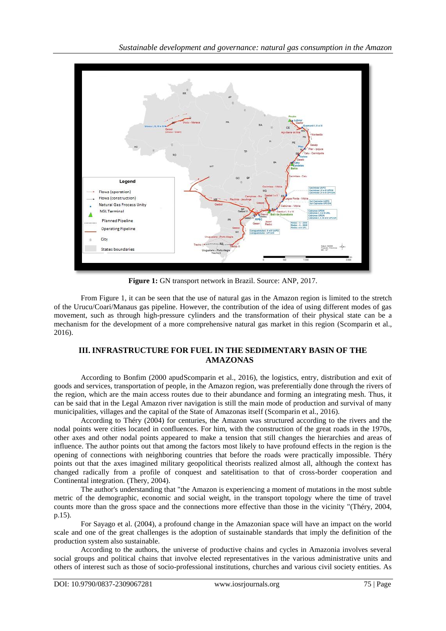*Sustainable development and governance: natural gas consumption in the Amazon*



**Figure 1:** GN transport network in Brazil. Source: ANP, 2017.

From Figure 1, it can be seen that the use of natural gas in the Amazon region is limited to the stretch of the Urucu/Coari/Manaus gas pipeline. However, the contribution of the idea of using different modes of gas movement, such as through high-pressure cylinders and the transformation of their physical state can be a mechanism for the development of a more comprehensive natural gas market in this region (Scomparin et al., 2016).

# **III. INFRASTRUCTURE FOR FUEL IN THE SEDIMENTARY BASIN OF THE AMAZONAS**

According to Bonfim (2000 apudScomparin et al., 2016), the logistics, entry, distribution and exit of goods and services, transportation of people, in the Amazon region, was preferentially done through the rivers of the region, which are the main access routes due to their abundance and forming an integrating mesh. Thus, it can be said that in the Legal Amazon river navigation is still the main mode of production and survival of many municipalities, villages and the capital of the State of Amazonas itself (Scomparin et al., 2016).

According to Théry (2004) for centuries, the Amazon was structured according to the rivers and the nodal points were cities located in confluences. For him, with the construction of the great roads in the 1970s, other axes and other nodal points appeared to make a tension that still changes the hierarchies and areas of influence. The author points out that among the factors most likely to have profound effects in the region is the opening of connections with neighboring countries that before the roads were practically impossible. Théry points out that the axes imagined military geopolitical theorists realized almost all, although the context has changed radically from a profile of conquest and satelitisation to that of cross-border cooperation and Continental integration. (Thery, 2004).

The author's understanding that "the Amazon is experiencing a moment of mutations in the most subtle metric of the demographic, economic and social weight, in the transport topology where the time of travel counts more than the gross space and the connections more effective than those in the vicinity "(Théry, 2004, p.15).

For Sayago et al. (2004), a profound change in the Amazonian space will have an impact on the world scale and one of the great challenges is the adoption of sustainable standards that imply the definition of the production system also sustainable.

According to the authors, the universe of productive chains and cycles in Amazonia involves several social groups and political chains that involve elected representatives in the various administrative units and others of interest such as those of socio-professional institutions, churches and various civil society entities. As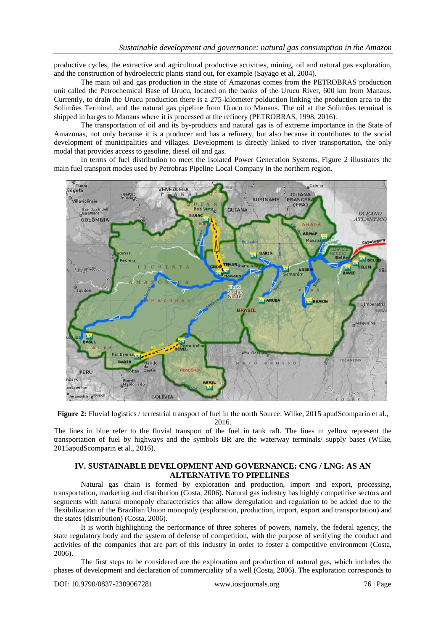productive cycles, the extractive and agricultural productive activities, mining, oil and natural gas exploration, and the construction of hydroelectric plants stand out, for example (Sayago et al, 2004).

The main oil and gas production in the state of Amazonas comes from the PETROBRAS production unit called the Petrochemical Base of Urucu, located on the banks of the Urucu River, 600 km from Manaus. Currently, to drain the Urucu production there is a 275-kilometer polduction linking the production area to the Solimões Terminal, and the natural gas pipeline from Urucu to Manaus. The oil at the Solimões terminal is shipped in barges to Manaus where it is processed at the refinery (PETROBRAS, 1998, 2016).

The transportation of oil and its by-products and natural gas is of extreme importance in the State of Amazonas, not only because it is a producer and has a refinery, but also because it contributes to the social development of municipalities and villages. Development is directly linked to river transportation, the only modal that provides access to gasoline, diesel oil and gas.

In terms of fuel distribution to meet the Isolated Power Generation Systems, Figure 2 illustrates the main fuel transport modes used by Petrobras Pipeline Local Company in the northern region.



**Figure 2:** Fluvial logistics / terrestrial transport of fuel in the north Source: Wilke, 2015 apudScomparin et al., 2016.

The lines in blue refer to the fluvial transport of the fuel in tank raft. The lines in yellow represent the transportation of fuel by highways and the symbols BR are the waterway terminals/ supply bases (Wilke, 2015apudScomparin et al., 2016).

## **IV. SUSTAINABLE DEVELOPMENT AND GOVERNANCE: CNG / LNG: AS AN ALTERNATIVE TO PIPELINES**

Natural gas chain is formed by exploration and production, import and export, processing, transportation, marketing and distribution (Costa, 2006). Natural gas industry has highly competitive sectors and segments with natural monopoly characteristics that allow deregulation and regulation to be added due to the flexibilization of the Brazilian Union monopoly (exploration, production, import, export and transportation) and the states (distribution) (Costa, 2006).

It is worth highlighting the performance of three spheres of powers, namely, the federal agency, the state regulatory body and the system of defense of competition, with the purpose of verifying the conduct and activities of the companies that are part of this industry in order to foster a competitive environment (Costa, 2006).

The first steps to be considered are the exploration and production of natural gas, which includes the phases of development and declaration of commerciality of a well (Costa, 2006). The exploration corresponds to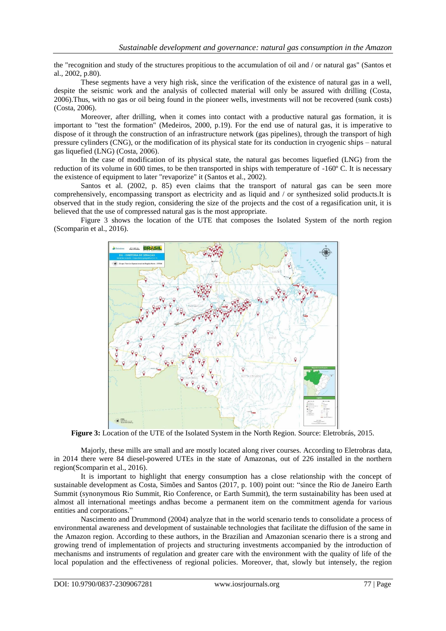the "recognition and study of the structures propitious to the accumulation of oil and / or natural gas" (Santos et al., 2002, p.80).

These segments have a very high risk, since the verification of the existence of natural gas in a well, despite the seismic work and the analysis of collected material will only be assured with drilling (Costa, 2006).Thus, with no gas or oil being found in the pioneer wells, investments will not be recovered (sunk costs) (Costa, 2006).

Moreover, after drilling, when it comes into contact with a productive natural gas formation, it is important to "test the formation" (Medeiros, 2000, p.19). For the end use of natural gas, it is imperative to dispose of it through the construction of an infrastructure network (gas pipelines), through the transport of high pressure cylinders (CNG), or the modification of its physical state for its conduction in cryogenic ships – natural gas liquefied (LNG) (Costa, 2006).

In the case of modification of its physical state, the natural gas becomes liquefied (LNG) from the reduction of its volume in 600 times, to be then transported in ships with temperature of -160° C. It is necessary the existence of equipment to later "revaporize" it (Santos et al., 2002).

Santos et al. (2002, p. 85) even claims that the transport of natural gas can be seen more comprehensively, encompassing transport as electricity and as liquid and / or synthesized solid products.It is observed that in the study region, considering the size of the projects and the cost of a regasification unit, it is believed that the use of compressed natural gas is the most appropriate.

Figure 3 shows the location of the UTE that composes the Isolated System of the north region (Scomparin et al., 2016).



**Figure 3:** Location of the UTE of the Isolated System in the North Region. Source: Eletrobrás, 2015.

Majorly, these mills are small and are mostly located along river courses. According to Eletrobras data, in 2014 there were 84 diesel-powered UTEs in the state of Amazonas, out of 226 installed in the northern region(Scomparin et al., 2016).

It is important to highlight that energy consumption has a close relationship with the concept of sustainable development as Costa, Simões and Santos (2017, p. 100) point out: "since the Rio de Janeiro Earth Summit (synonymous Rio Summit, Rio Conference, or Earth Summit), the term sustainability has been used at almost all international meetings andhas become a permanent item on the commitment agenda for various entities and corporations."

Nascimento and Drummond (2004) analyze that in the world scenario tends to consolidate a process of environmental awareness and development of sustainable technologies that facilitate the diffusion of the same in the Amazon region. According to these authors, in the Brazilian and Amazonian scenario there is a strong and growing trend of implementation of projects and structuring investments accompanied by the introduction of mechanisms and instruments of regulation and greater care with the environment with the quality of life of the local population and the effectiveness of regional policies. Moreover, that, slowly but intensely, the region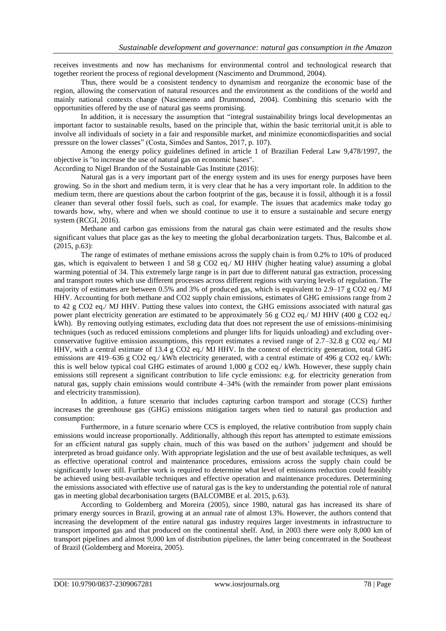receives investments and now has mechanisms for environmental control and technological research that together reorient the process of regional development (Nascimento and Drummond, 2004).

Thus, there would be a consistent tendency to dynamism and reorganize the economic base of the region, allowing the conservation of natural resources and the environment as the conditions of the world and mainly national contexts change (Nascimento and Drummond, 2004). Combining this scenario with the opportunities offered by the use of natural gas seems promising.

In addition, it is necessary the assumption that "integral sustainability brings local developmentas an important factor to sustainable results, based on the principle that, within the basic territorial unit,it is able to involve all individuals of society in a fair and responsible market, and minimize economicdisparities and social pressure on the lower classes" (Costa, Simões and Santos, 2017, p. 107).

Among the energy policy guidelines defined in article 1 of Brazilian Federal Law 9,478/1997, the objective is "to increase the use of natural gas on economic bases".

According to Nigel Brandon of the Sustainable Gas Institute (2016):

Natural gas is a very important part of the energy system and its uses for energy purposes have been growing. So in the short and medium term, it is very clear that he has a very important role. In addition to the medium term, there are questions about the carbon footprint of the gas, because it is fossil, although it is a fossil cleaner than several other fossil fuels, such as coal, for example. The issues that academics make today go towards how, why, where and when we should continue to use it to ensure a sustainable and secure energy system (RCGI, 2016).

Methane and carbon gas emissions from the natural gas chain were estimated and the results show significant values that place gas as the key to meeting the global decarbonization targets. Thus, Balcombe et al. (2015, p.63):

The range of estimates of methane emissions across the supply chain is from 0.2% to 10% of produced gas, which is equivalent to between 1 and 58 g CO2 eq./ MJ HHV (higher heating value) assuming a global warming potential of 34. This extremely large range is in part due to different natural gas extraction, processing and transport routes which use different processes across different regions with varying levels of regulation. The majority of estimates are between 0.5% and 3% of produced gas, which is equivalent to 2.9–17 g CO2 eq./ MJ HHV. Accounting for both methane and CO2 supply chain emissions, estimates of GHG emissions range from 2 to 42 g CO2 eq./ MJ HHV. Putting these values into context, the GHG emissions associated with natural gas power plant electricity generation are estimated to be approximately 56 g CO2 eq./ MJ HHV (400 g CO2 eq./ kWh). By removing outlying estimates, excluding data that does not represent the use of emissions-minimising techniques (such as reduced emissions completions and plunger lifts for liquids unloading) and excluding overconservative fugitive emission assumptions, this report estimates a revised range of  $2.7-32.8$  g CO2 eq./ MJ HHV, with a central estimate of 13.4 g CO2 eq./ MJ HHV. In the context of electricity generation, total GHG emissions are 419–636 g CO2 eq./ kWh electricity generated, with a central estimate of 496 g CO2 eq./ kWh: this is well below typical coal GHG estimates of around 1,000 g CO2 eq./ kWh. However, these supply chain emissions still represent a significant contribution to life cycle emissions: e.g. for electricity generation from natural gas, supply chain emissions would contribute 4–34% (with the remainder from power plant emissions and electricity transmission).

In addition, a future scenario that includes capturing carbon transport and storage (CCS) further increases the greenhouse gas (GHG) emissions mitigation targets when tied to natural gas production and consumption:

Furthermore, in a future scenario where CCS is employed, the relative contribution from supply chain emissions would increase proportionally. Additionally, although this report has attempted to estimate emissions for an efficient natural gas supply chain, much of this was based on the authors' judgement and should be interpreted as broad guidance only. With appropriate legislation and the use of best available techniques, as well as effective operational control and maintenance procedures, emissions across the supply chain could be significantly lower still. Further work is required to determine what level of emissions reduction could feasibly be achieved using best-available techniques and effective operation and maintenance procedures. Determining the emissions associated with effective use of natural gas is the key to understanding the potential role of natural gas in meeting global decarbonisation targets (BALCOMBE et al. 2015, p.63).

According to Goldemberg and Moreira (2005), since 1980, natural gas has increased its share of primary energy sources in Brazil, growing at an annual rate of almost 13%. However, the authors contend that increasing the development of the entire natural gas industry requires larger investments in infrastructure to transport imported gas and that produced on the continental shelf. And, in 2003 there were only 8,000 km of transport pipelines and almost 9,000 km of distribution pipelines, the latter being concentrated in the Southeast of Brazil (Goldemberg and Moreira, 2005).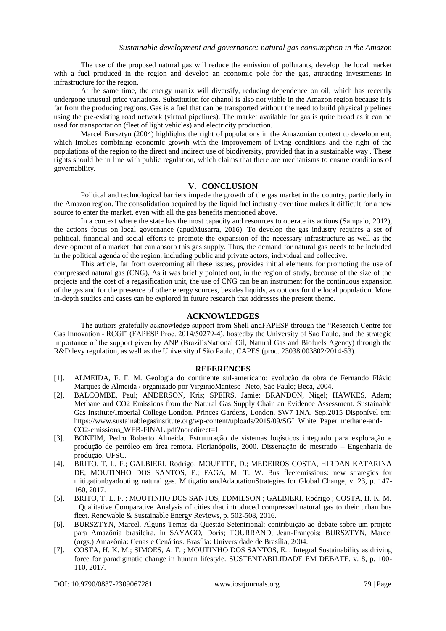The use of the proposed natural gas will reduce the emission of pollutants, develop the local market with a fuel produced in the region and develop an economic pole for the gas, attracting investments in infrastructure for the region.

At the same time, the energy matrix will diversify, reducing dependence on oil, which has recently undergone unusual price variations. Substitution for ethanol is also not viable in the Amazon region because it is far from the producing regions. Gas is a fuel that can be transported without the need to build physical pipelines using the pre-existing road network (virtual pipelines). The market available for gas is quite broad as it can be used for transportation (fleet of light vehicles) and electricity production.

Marcel Bursztyn (2004) highlights the right of populations in the Amazonian context to development, which implies combining economic growth with the improvement of living conditions and the right of the populations of the region to the direct and indirect use of biodiversity, provided that in a sustainable way . These rights should be in line with public regulation, which claims that there are mechanisms to ensure conditions of governability.

#### **V. CONCLUSION**

Political and technological barriers impede the growth of the gas market in the country, particularly in the Amazon region. The consolidation acquired by the liquid fuel industry over time makes it difficult for a new source to enter the market, even with all the gas benefits mentioned above.

In a context where the state has the most capacity and resources to operate its actions (Sampaio, 2012), the actions focus on local governance (apudMusarra, 2016). To develop the gas industry requires a set of political, financial and social efforts to promote the expansion of the necessary infrastructure as well as the development of a market that can absorb this gas supply. Thus, the demand for natural gas needs to be included in the political agenda of the region, including public and private actors, individual and collective.

This article, far from overcoming all these issues, provides initial elements for promoting the use of compressed natural gas (CNG). As it was briefly pointed out, in the region of study, because of the size of the projects and the cost of a regasification unit, the use of CNG can be an instrument for the continuous expansion of the gas and for the presence of other energy sources, besides liquids, as options for the local population. More in-depth studies and cases can be explored in future research that addresses the present theme.

#### **ACKNOWLEDGES**

The authors gratefully acknowledge support from Shell andFAPESP through the "Research Centre for Gas Innovation - RCGI" (FAPESP Proc. 2014/50279-4), hostedby the University of Sao Paulo, and the strategic importance of the support given by ANP (Brazil'sNational Oil, Natural Gas and Biofuels Agency) through the R&D levy regulation, as well as the Universityof São Paulo, CAPES (proc. 23038.003802/2014-53).

#### **REFERENCES**

- [1]. ALMEIDA, F. F. M. Geologia do continente sul-americano: evolução da obra de Fernando Flávio Marques de Almeida / organizado por VirginioManteso- Neto, São Paulo; Beca, 2004.
- [2]. BALCOMBE, Paul; ANDERSON, Kris; SPEIRS, Jamie; BRANDON, Nigel; HAWKES, Adam; Methane and CO2 Emissions from the Natural Gas Supply Chain an Evidence Assessment. Sustainable Gas Institute/Imperial College London. Princes Gardens, London. SW7 1NA. Sep.2015 Disponível em: https://www.sustainablegasinstitute.org/wp-content/uploads/2015/09/SGI\_White\_Paper\_methane-and-CO2-emissions\_WEB-FINAL.pdf?noredirect=1
- [3]. BONFIM, Pedro Roberto Almeida. Estruturação de sistemas logísticos integrado para exploração e produção de petróleo em área remota. Florianópolis, 2000. Dissertação de mestrado – Engenharia de produção, UFSC.
- [4]. BRITO, T. L. F.; GALBIERI, Rodrigo; MOUETTE, D.; MEDEIROS COSTA, HIRDAN KATARINA DE; MOUTINHO DOS SANTOS, E.; FAGA, M. T. W. Bus fleetemissions: new strategies for mitigationbyadopting natural gas. MitigationandAdaptationStrategies for Global Change, v. 23, p. 147- 160, 2017.
- [5]. BRITO, T. L. F. ; MOUTINHO DOS SANTOS, EDMILSON ; GALBIERI, Rodrigo ; COSTA, H. K. M. . Qualitative Comparative Analysis of cities that introduced compressed natural gas to their urban bus fleet. Renewable & Sustainable Energy Reviews, p. 502-508, 2016.
- [6]. BURSZTYN, Marcel. Alguns Temas da Questão Setentrional: contribuição ao debate sobre um projeto para Amazônia brasileira. in SAYAGO, Doris; TOURRAND, Jean-François; BURSZTYN, Marcel (orgs.) Amazônia: Cenas e Cenários. Brasília: Universidade de Brasília, 2004.
- [7]. COSTA, H. K. M.; SIMOES, A. F. ; MOUTINHO DOS SANTOS, E. . Integral Sustainability as driving force for paradigmatic change in human lifestyle. SUSTENTABILIDADE EM DEBATE, v. 8, p. 100- 110, 2017.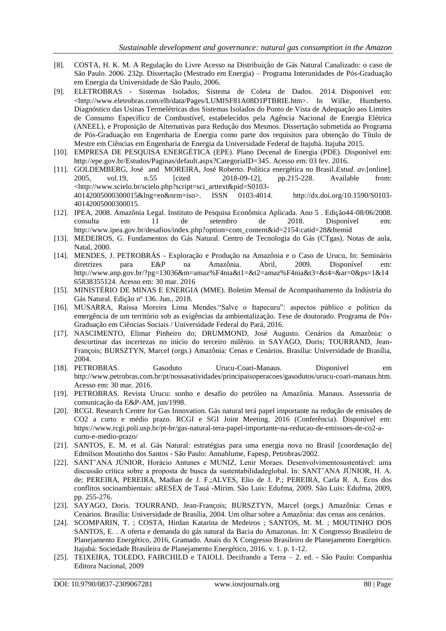- [8]. COSTA, H. K. M. A Regulação do Livre Acesso na Distribuição de Gás Natural Canalizado: o caso de São Paulo. 2006. 232p. Dissertação (Mestrado em Energia) – Programa Interunidades de Pós-Graduação em Energia da Universidade de São Paulo, 2006.
- [9]. ELETROBRAS Sistemas Isolados, Sistema de Coleta de Dados. 2014. Disponivel em: <http://www.eletrobras.com/elb/data/Pages/LUMISF81A08D1PTBRIE.htm>. In Wilke, Humberto. Diagnóstico das Usinas Termelétricas dos Sistemas Isolados do Ponto de Vista de Adequação aos Limites de Consumo Específico de Combustível, estabelecidos pela Agência Nacional de Energia Elétrica (ANEEL), e Proposição de Alternativas para Redução dos Mesmos. Dissertação submetida ao Programa de Pós-Graduação em Engenharia de Energia como parte dos requisitos para obtenção do Título de Mestre em Ciências em Engenharia de Energia da Universidade Federal de Itajubá. Itajuba 2015.
- [10]. EMPRESA DE PESQUISA ENERGÉTICA (EPE). Plano Decenal de Energia (PDE). Disponível em: [http://epe.gov.br/Estudos/Paginas/default.aspx?CategoriaID=345.](http://epe.gov.br/Estudos/Paginas/default.aspx?CategoriaID=345) Acesso em: 03 fev. 2016.
- [11]. GOLDEMBERG, José and MOREIRA, José Roberto. Política energética no Brasil.*Estud. av.*[online]. 2005, vol.19, n.55 [cited 2018-09-12], pp.215-228. Available from: <http://www.scielo.br/scielo.php?script=sci\_arttext&pid=S0103- 40142005000300015&lng=en&nrm=iso>. ISSN 0103-4014. http://dx.doi.org/10.1590/S0103- 40142005000300015.
- [12]. IPEA, 2008. Amazônia Legal. Instituto de Pesquisa Econômica Aplicada. Ano 5 . Edição44-08/06/2008. consulta em 11 de setembro de 2018. Disponível em: http://www.ipea.gov.br/desafios/index.php?option=com\_content&id=2154:catid=28&Itemid
- [13]. MEDEIROS, G. Fundamentos do Gás Natural. Centro de Tecnologia do Gás (CTgas). Notas de aula, Natal, 2000.
- [14]. MENDES, J. PETROBRÁS Exploração e Produção na Amazônia e o Caso de Urucu, In: Seminário diretrizes para E&P na Amazônia. Abril, 2009. Disponível em: http://www.anp.gov.br/?pg=13036&m=amaz%F4nia&t1=&t2=amaz%F4nia&t3=&t4=&ar=0&ps=1&14 65838355124. Acesso em: 30 mar. 2016
- [15]. MINISTÉRIO DE MINAS E ENERGIA (MME). Boletim Mensal de Acompanhamento da Indústria do Gás Natural. Edição nº 136. Jun., 2018.
- [16]. MUSARRA, Raíssa Moreira Lima Mendes."Salve o Itapecuru": aspectos público e político da emergência de um território sob as exigências da ambientalização. Tese de doutorado. Programa de Pós-Graduação em Ciências Sociais / Universidade Federal do Pará, 2016.
- [17]. NASCIMENTO, Elimar Pinheiro do; DRUMMOND, José Augusto. Cenários da Amazônia: o descortinar das incertezas no início do terceiro milênio. in SAYAGO, Doris; TOURRAND, Jean-François; BURSZTYN, Marcel (orgs.) Amazônia: Cenas e Cenários. Brasília: Universidade de Brasília, 2004.
- [18]. PETROBRAS. Gasoduto Urucu-Coari-Manaus. Disponível em http://www.petrobras.com.br/pt/nossasatividades/principaisoperacoes/gasodutos/urucu-coari-manaus.htm. Acesso em: 30 mar. 2016.
- [19]. PETROBRAS. Revista Urucu: sonho e desafio do petróleo na Amazônia. Manaus. Assessoria de comunicação da E&P-AM, jun/1998.
- [20]. RCGI. Research Centre for Gas Innovation. Gás natural terá papel importante na redução de emissões de CO2 a curto e médio prazo. RCGI e SGI Joint Meeting. 2016 (Conferência). Disponível em: https://www.rcgi.poli.usp.br/pt-br/gas-natural-tera-papel-importante-na-reducao-de-emissoes-de-co2-acurto-e-medio-prazo/
- [21]. SANTOS, E. M. et al. Gás Natural: estratégias para uma energia nova no Brasil [coordenação de] Edmilson Moutinho dos Santos - São Paulo: Annablume, Fapesp, Petrobras/2002.
- [22]. SANT'ANA JÚNIOR, Horácio Antunes e MUNIZ, Lenir Moraes. Desenvolvimentosustentável: uma discussão crítica sobre a proposta de busca da sustentabilidadeglobal. In: SANT'ANA JÚNIOR, H. A. de; PEREIRA, PEREIRA, Madian de J. F.;ALVES, Elio de J. P.; PEREIRA, Carla R. A. Ecos dos conflitos socioambientais: aRESEX de Tauá -Mirim. São Luis: Edufma, 2009. São Luis: Edufma, 2009, pp. 255-276.
- [23]. SAYAGO, Doris. TOURRAND, Jean-François; BURSZTYN, Marcel (orgs.) Amazônia: Cenas e Cenários. Brasília: Universidade de Brasília, 2004. Um olhar sobre a Amazônia: das cenas aos cenários.
- [24]. SCOMPARIN, T. ; COSTA, Hirdan Katarina de Medeiros ; SANTOS, M. M. ; MOUTINHO DOS SANTOS, E. . A oferta e demanda do gás natural da Bacia do Amazonas. In: X Congresso Brasileiro de Planejamento Energético, 2016, Gramado. Anais do X Congresso Brasileiro de Planejamento Energético. Itajubá: Sociedade Brasileira de Planejamento Energético, 2016. v. 1. p. 1-12.
- [25]. TEIXEIRA, TOLEDO, FAIRCHILD e TAIOLI. Decifrando a Terra 2. ed. São Paulo: Companhia Editora Nacional, 2009